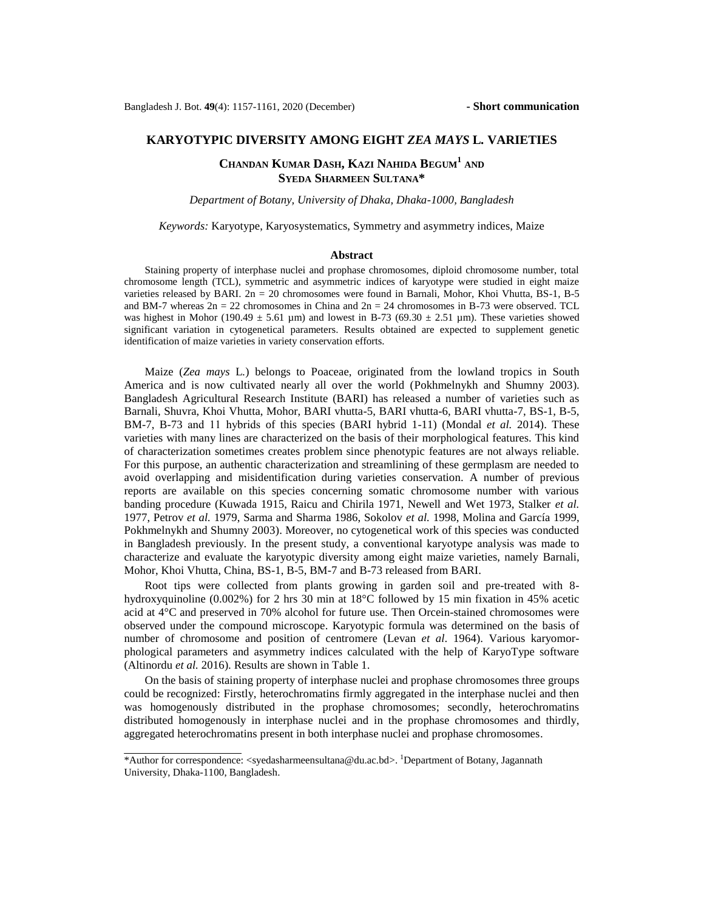## **KARYOTYPIC DIVERSITY AMONG EIGHT** *ZEA MAYS* **L***.* **VARIETIES**

# **CHANDAN KUMAR DASH, KAZI NAHIDA BEGUM<sup>1</sup> AND SYEDA SHARMEEN SULTANA\***

*Department of Botany, University of Dhaka, Dhaka-1000, Bangladesh*

*Keywords:* Karyotype, Karyosystematics, Symmetry and asymmetry indices, Maize

### **Abstract**

Staining property of interphase nuclei and prophase chromosomes, diploid chromosome number, total chromosome length (TCL), symmetric and asymmetric indices of karyotype were studied in eight maize varieties released by BARI. 2n = 20 chromosomes were found in Barnali, Mohor, Khoi Vhutta, BS-1, B-5 and BM-7 whereas  $2n = 22$  chromosomes in China and  $2n = 24$  chromosomes in B-73 were observed. TCL was highest in Mohor (190.49  $\pm$  5.61 µm) and lowest in B-73 (69.30  $\pm$  2.51 µm). These varieties showed significant variation in cytogenetical parameters. Results obtained are expected to supplement genetic identification of maize varieties in variety conservation efforts.

Maize (*Zea mays* L*.*) belongs to Poaceae, originated from the lowland tropics in South America and is now cultivated nearly all over the world (Pokhmelnykh and Shumny 2003). Bangladesh Agricultural Research Institute (BARI) has released a number of varieties such as Barnali, Shuvra, Khoi Vhutta, Mohor, BARI vhutta-5, BARI vhutta-6, BARI vhutta-7, BS-1, B-5, BM-7, B-73 and 11 hybrids of this species (BARI hybrid 1-11) (Mondal *et al.* 2014). These varieties with many lines are characterized on the basis of their morphological features. This kind of characterization sometimes creates problem since phenotypic features are not always reliable. For this purpose, an authentic characterization and streamlining of these germplasm are needed to avoid overlapping and misidentification during varieties conservation. A number of previous reports are available on this species concerning somatic chromosome number with various banding procedure (Kuwada 1915, Raicu and Chirila 1971, Newell and Wet 1973, Stalker *et al.* 1977, Petrov *et al.* 1979, Sarma and Sharma 1986, Sokolov *et al.* 1998, Molina and García 1999, Pokhmelnykh and Shumny 2003). Moreover, no cytogenetical work of this species was conducted in Bangladesh previously. In the present study, a conventional karyotype analysis was made to characterize and evaluate the karyotypic diversity among eight maize varieties, namely Barnali, Mohor, Khoi Vhutta, China, BS-1, B-5, BM-7 and B-73 released from BARI.

Root tips were collected from plants growing in garden soil and pre-treated with 8 hydroxyquinoline (0.002%) for 2 hrs 30 min at 18°C followed by 15 min fixation in 45% acetic acid at 4°C and preserved in 70% alcohol for future use. Then Orcein-stained chromosomes were observed under the compound microscope. Karyotypic formula was determined on the basis of number of chromosome and position of centromere (Levan *et al*. 1964). Various karyomorphological parameters and asymmetry indices calculated with the help of KaryoType software (Altinordu *et al.* 2016). Results are shown in Table 1.

On the basis of staining property of interphase nuclei and prophase chromosomes three groups could be recognized: Firstly, heterochromatins firmly aggregated in the interphase nuclei and then was homogenously distributed in the prophase chromosomes; secondly, heterochromatins distributed homogenously in interphase nuclei and in the prophase chromosomes and thirdly, aggregated heterochromatins present in both interphase nuclei and prophase chromosomes.

<sup>\*</sup>Author for correspondence: [<syedasharmeensultana@du.ac.bd>](mailto:syedasharmeensultana@du.ac.bd). <sup>1</sup>Department of Botany, Jagannath University, Dhaka-1100, Bangladesh.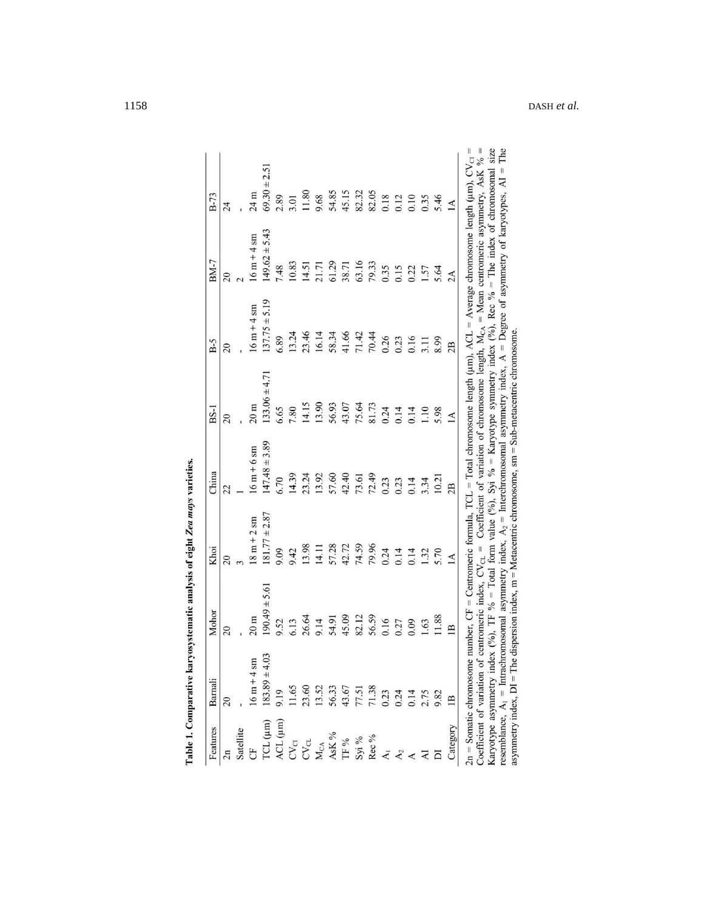| Features                                                 | Barnali                       | Mohor                          | Khoi                                                                                                                                                                                                                                                                                                                                                                                                                                                                                                                 | China             | $BS-1$            | $B-5$                                                                                         | BM-7              | $B-73$             |
|----------------------------------------------------------|-------------------------------|--------------------------------|----------------------------------------------------------------------------------------------------------------------------------------------------------------------------------------------------------------------------------------------------------------------------------------------------------------------------------------------------------------------------------------------------------------------------------------------------------------------------------------------------------------------|-------------------|-------------------|-----------------------------------------------------------------------------------------------|-------------------|--------------------|
|                                                          | 20                            | $\overline{0}$                 | $\overline{c}$                                                                                                                                                                                                                                                                                                                                                                                                                                                                                                       | 22                | 20                | $\overline{c}$                                                                                | $\overline{c}$    | 24                 |
| Satellite                                                |                               |                                |                                                                                                                                                                                                                                                                                                                                                                                                                                                                                                                      |                   |                   |                                                                                               |                   |                    |
|                                                          | $16 \text{ m} + 4 \text{ sm}$ | $20 \text{ m}$                 | $18 m + 2 sm$                                                                                                                                                                                                                                                                                                                                                                                                                                                                                                        | $16m + 6sm$       | $20 \text{ m}$    | $16 m + 4 sm$                                                                                 | $16m + 4sm$       | 24 m               |
| [CL (µm)                                                 | $183.89 \pm 4.03$             | $190.49 \pm 5.61$              | $81.77 \pm 2.87$                                                                                                                                                                                                                                                                                                                                                                                                                                                                                                     | $147.48 \pm 3.89$ | $133.06 \pm 4.71$ | $137.75 \pm 5.19$                                                                             | $149.62 \pm 5.43$ | $69.30 \pm 2.51$   |
| ACL (µm)                                                 | 9.19                          | 9.52                           | 9.09                                                                                                                                                                                                                                                                                                                                                                                                                                                                                                                 | 6.70              | 6.65              | 6.89                                                                                          | 7.48              | 2.89               |
| CV <sub>CI</sub>                                         | 11.65                         | 6.13                           | 9.42                                                                                                                                                                                                                                                                                                                                                                                                                                                                                                                 | 14.39             | 7.80              | 13.24                                                                                         | 10.83             | 3.01               |
| CV <sub>CL</sub>                                         | 23.60                         | 26.64                          | 13.98                                                                                                                                                                                                                                                                                                                                                                                                                                                                                                                | 23.24             | 14.15             | 23.46                                                                                         | 14.51             | 11.80              |
| $M_{CA}$                                                 | 13.52                         | 9.14                           | 14.11                                                                                                                                                                                                                                                                                                                                                                                                                                                                                                                | 13.92             | 13.90             | 16.14                                                                                         | 21.71             | 9.68               |
| AsK %                                                    |                               | 54.91                          | 57.28                                                                                                                                                                                                                                                                                                                                                                                                                                                                                                                | 57.60             | 56.93             | 58.34                                                                                         | 61.29             | 54.85              |
| TF %                                                     | 56.33<br>43.67                | 45.09                          | 42.72                                                                                                                                                                                                                                                                                                                                                                                                                                                                                                                | 42.40             | 43.07             | 41.66                                                                                         | 38.71             | 45.15              |
|                                                          |                               | 82.12                          | 74.59                                                                                                                                                                                                                                                                                                                                                                                                                                                                                                                | 73.61             | 75.64             | 71.42                                                                                         | 63.16             | 82.32              |
| Syi %<br>Rec %                                           | 77.51<br>71.38                | 56.59                          | 79.96                                                                                                                                                                                                                                                                                                                                                                                                                                                                                                                | 72.49             | 81.73             | 70.44                                                                                         | 79.33             | 82.05              |
|                                                          |                               | 0.16                           | 0.24                                                                                                                                                                                                                                                                                                                                                                                                                                                                                                                 | 0.23              | 0.24              | 0.26                                                                                          | 0.35              | 0.18               |
| $A_1$<br>$A_2$                                           | 0.23<br>0.24<br>0.14          | 0.27                           | 0.14                                                                                                                                                                                                                                                                                                                                                                                                                                                                                                                 | 0.23              | 0.14              | 0.23                                                                                          | 0.15              | 0.12               |
|                                                          |                               | 0.09                           | 0.14                                                                                                                                                                                                                                                                                                                                                                                                                                                                                                                 | 0.14              | 0.14              | 0.16                                                                                          | 0.22              | 0.10               |
|                                                          | 2.75                          | 1.63                           | 1.32                                                                                                                                                                                                                                                                                                                                                                                                                                                                                                                 | 3.34              | 1.10              | 3.11                                                                                          | 1.57              | 0.35               |
|                                                          | 9.82                          | 11.88                          | 5.70                                                                                                                                                                                                                                                                                                                                                                                                                                                                                                                 | 10.21             | 5.98              | 8.99                                                                                          | 5.64              | 5.46               |
| Category                                                 | $\mathbf{B}$                  | $\mathbf{B}$                   | $\overline{A}$                                                                                                                                                                                                                                                                                                                                                                                                                                                                                                       | 2B                | $\Delta$          | 2B                                                                                            | 2A                | $\overline{A}$     |
| $2n =$ Somatic chromosome<br>Coefficient of variation of | asymmetry index, $DI = The$   | centromeric index, $CV_{CL}$ = | Karyotype asymmetry index (%), TF % = Total form value (%), Syi % = Karyotype symmetry index (%), Rec % = The index of chromosomal size<br>number, CF = Centromeric formula, TCL = Total chromosome length ( $\mu$ m), ACL = Average chromosome length ( $\mu$ m), CV <sub>Cl</sub><br>resemblance, $A_1$ = Intrachromosomal asymmetry index, $A_2$ = Interchromosomal asymmetry index, $A =$ Degree of asymmetry of karyotypes, AI<br>dispersion index, m = Metacentric chromosome, sm = Sub-metacentric chromosome |                   |                   | Coefficient of variation of chromosome length, $M_{C,A} = M$ ean centromeric asymmetry, AsK % |                   | Гhe<br>$\parallel$ |

Table 1. Comparative karyosystematic analysis of eight Zea mays varieties.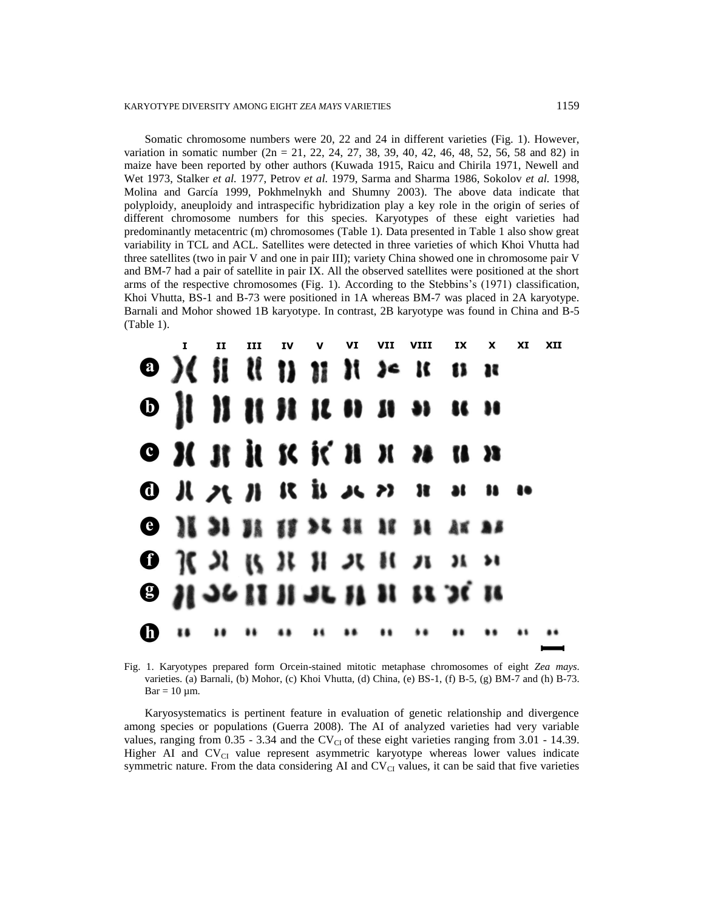Somatic chromosome numbers were 20, 22 and 24 in different varieties (Fig. 1). However, variation in somatic number  $(2n = 21, 22, 24, 27, 38, 39, 40, 42, 46, 48, 52, 56, 58, and 82)$  in maize have been reported by other authors (Kuwada 1915, Raicu and Chirila 1971, Newell and Wet 1973, Stalker *et al.* 1977, Petrov *et al.* 1979, Sarma and Sharma 1986, Sokolov *et al.* 1998, Molina and García 1999, Pokhmelnykh and Shumny 2003). The above data indicate that polyploidy, aneuploidy and intraspecific hybridization play a key role in the origin of series of different chromosome numbers for this species. Karyotypes of these eight varieties had predominantly metacentric (m) chromosomes (Table 1). Data presented in Table 1 also show great variability in TCL and ACL. Satellites were detected in three varieties of which Khoi Vhutta had three satellites (two in pair V and one in pair III); variety China showed one in chromosome pair V and BM-7 had a pair of satellite in pair IX. All the observed satellites were positioned at the short arms of the respective chromosomes (Fig. 1). According to the Stebbins's (1971) classification, Khoi Vhutta, BS-1 and B-73 were positioned in 1A whereas BM-7 was placed in 2A karyotype. Barnali and Mohor showed 1B karyotype. In contrast, 2B karyotype was found in China and B-5 (Table 1).

|  | II                                                                                                                                                                  |  |  |  | III IV V VI VII VIII IX X XI |  | XII |
|--|---------------------------------------------------------------------------------------------------------------------------------------------------------------------|--|--|--|------------------------------|--|-----|
|  | $\mathbf{O}$ ) ( ii ii ii ii ii is k n n                                                                                                                            |  |  |  |                              |  |     |
|  |                                                                                                                                                                     |  |  |  |                              |  |     |
|  | $\bullet$ $\mathcal{H}$ $\mathcal{H}$ $\mathcal{H}$ $\mathcal{H}$ $\mathcal{H}$ $\mathcal{H}$ $\mathcal{H}$ $\mathcal{H}$ $\mathcal{H}$ $\mathcal{H}$ $\mathcal{H}$ |  |  |  |                              |  |     |
|  |                                                                                                                                                                     |  |  |  |                              |  |     |
|  | <b>O II II II II II II II AK AS</b>                                                                                                                                 |  |  |  |                              |  |     |
|  | $\mathbf{O}$ $\mathcal{X}$ $\mathcal{X}$ $\mathcal{Y}$ $\mathcal{Y}$ $\mathcal{Y}$ $\mathcal{Y}$ $\mathcal{Y}$ $\mathcal{Y}$                                        |  |  |  |                              |  |     |
|  | $\theta$ H $\theta$ and $\theta$ if it is $\theta$ if                                                                                                               |  |  |  |                              |  |     |
|  |                                                                                                                                                                     |  |  |  |                              |  |     |

Fig. 1. Karyotypes prepared form Orcein-stained mitotic metaphase chromosomes of eight *Zea mays*. varieties. (a) Barnali, (b) Mohor, (c) Khoi Vhutta, (d) China, (e) BS-1, (f) B-5, (g) BM-7 and (h) B-73.  $Bar = 10 \mu m$ .

Karyosystematics is pertinent feature in evaluation of genetic relationship and divergence among species or populations (Guerra 2008). The AI of analyzed varieties had very variable values, ranging from  $0.35 - 3.34$  and the CV<sub>CI</sub> of these eight varieties ranging from  $3.01 - 14.39$ . Higher AI and  $CV_{CI}$  value represent asymmetric karyotype whereas lower values indicate symmetric nature. From the data considering AI and  $CV_{CI}$  values, it can be said that five varieties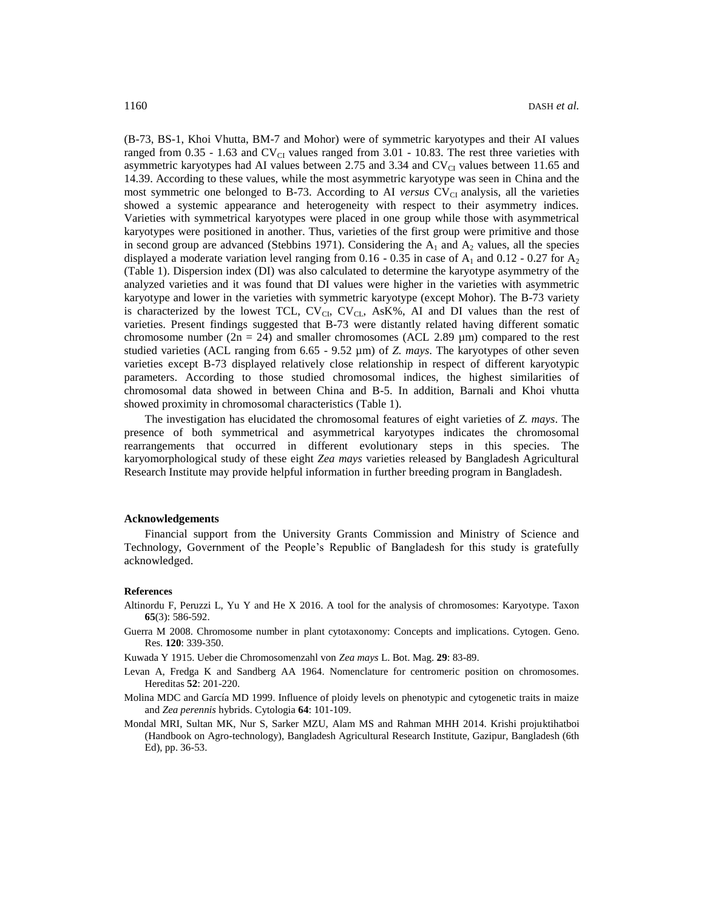(B-73, BS-1, Khoi Vhutta, BM-7 and Mohor) were of symmetric karyotypes and their AI values ranged from 0.35 - 1.63 and  $CV_{CI}$  values ranged from 3.01 - 10.83. The rest three varieties with asymmetric karyotypes had AI values between 2.75 and 3.34 and  $CV_{CI}$  values between 11.65 and 14.39. According to these values, while the most asymmetric karyotype was seen in China and the most symmetric one belonged to B-73. According to AI *versus* CV<sub>CI</sub> analysis, all the varieties showed a systemic appearance and heterogeneity with respect to their asymmetry indices. Varieties with symmetrical karyotypes were placed in one group while those with asymmetrical karyotypes were positioned in another. Thus, varieties of the first group were primitive and those in second group are advanced (Stebbins 1971). Considering the  $A_1$  and  $A_2$  values, all the species displayed a moderate variation level ranging from 0.16 - 0.35 in case of  $A_1$  and 0.12 - 0.27 for  $A_2$ (Table 1). Dispersion index (DI) was also calculated to determine the karyotype asymmetry of the analyzed varieties and it was found that DI values were higher in the varieties with asymmetric karyotype and lower in the varieties with symmetric karyotype (except Mohor). The B-73 variety is characterized by the lowest TCL,  $CV_{CL}$ ,  $CV_{CL}$ ,  $AsK\%$ , AI and DI values than the rest of varieties. Present findings suggested that B-73 were distantly related having different somatic chromosome number (2n = 24) and smaller chromosomes (ACL 2.89  $\mu$ m) compared to the rest studied varieties (ACL ranging from 6.65 - 9.52 µm) of *Z. mays*. The karyotypes of other seven varieties except B-73 displayed relatively close relationship in respect of different karyotypic parameters. According to those studied chromosomal indices, the highest similarities of chromosomal data showed in between China and B-5. In addition, Barnali and Khoi vhutta showed proximity in chromosomal characteristics (Table 1).

The investigation has elucidated the chromosomal features of eight varieties of *Z. mays*. The presence of both symmetrical and asymmetrical karyotypes indicates the chromosomal rearrangements that occurred in different evolutionary steps in this species. The karyomorphological study of these eight *Zea mays* varieties released by Bangladesh Agricultural Research Institute may provide helpful information in further breeding program in Bangladesh.

## **Acknowledgements**

Financial support from the University Grants Commission and Ministry of Science and Technology, Government of the People's Republic of Bangladesh for this study is gratefully acknowledged.

#### **References**

- Altinordu F, Peruzzi L, Yu Y and He X 2016. A tool for the analysis of chromosomes: Karyotype. Taxon **65**(3): 586-592.
- Guerra M 2008. Chromosome number in plant cytotaxonomy: Concepts and implications. Cytogen. Geno. Res. **120**: 339-350.

Kuwada Y 1915. Ueber die Chromosomenzahl von *Zea mays* L. Bot. Mag. **29**: 83-89.

- Levan A, Fredga K and Sandberg AA 1964. Nomenclature for centromeric position on chromosomes. Hereditas **52**: 201-220.
- Molina MDC and García MD 1999. Influence of ploidy levels on phenotypic and cytogenetic traits in maize and *Zea perennis* hybrids. Cytologia **64**: 101-109.
- Mondal MRI, Sultan MK, Nur S, Sarker MZU, Alam MS and Rahman MHH 2014. Krishi projuktihatboi (Handbook on Agro-technology), Bangladesh Agricultural Research Institute, Gazipur, Bangladesh (6th Ed), pp. 36-53.